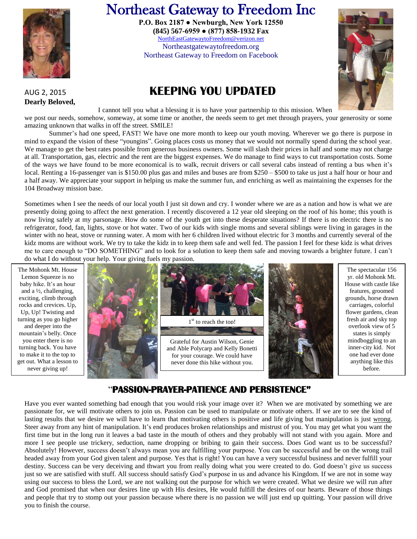

# Northeast Gateway to Freedom Inc

 [NorthEastGatewaytoFreedom@verizon.net](mailto:NorthEastGatewaytoFreedom@verizon.net) **P.O. Box 2187 ● Newburgh, New York 12550 (845) 567-6959 ● (877) 858-1932 Fax**

Northeastgatewaytofreedom.org Northeast Gateway to Freedom on Facebook

## AUG 2, 2015 **KEEPING YOU UPDATED**



**Dearly Beloved,** 

I cannot tell you what a blessing it is to have your partnership to this mission. When

we post our needs, somehow, someway, at some time or another, the needs seem to get met through prayers, your generosity or some amazing unknown that walks in off the street. SMILE!

Summer's had one speed, FAST! We have one more month to keep our youth moving. Wherever we go there is purpose in mind to expand the vision of these "youngins". Going places costs us money that we would not normally spend during the school year. We manage to get the best rates possible from generous business owners. Some will slash their prices in half and some may not charge at all. Transportation, gas, electric and the rent are the biggest expenses. We do manage to find ways to cut transportation costs. Some of the ways we have found to be more economical is to walk, recruit drivers or call several cabs instead of renting a bus when it's local. Renting a 16-passenger van is \$150.00 plus gas and miles and buses are from \$250 – \$500 to take us just a half hour or hour and a half away. We appreciate your support in helping us make the summer fun, and enriching as well as maintaining the expenses for the 104 Broadway mission base.

Sometimes when I see the needs of our local youth I just sit down and cry. I wonder where we are as a nation and how is what we are presently doing going to affect the next generation. I recently discovered a 12 year old sleeping on the roof of his home; this youth is now living safely at my parsonage. How do some of the youth get into these desperate situations? If there is no electric there is no refrigerator, food, fan, lights, stove or hot water. Two of our kids with single moms and several siblings were living in garages in the winter with no heat, stove or running water. A mom with her 6 children lived without electric for 3 months and currently several of the kidz moms are without work. We try to take the kidz in to keep them safe and well fed. The passion I feel for these kidz is what drives me to care enough to "DO SOMETHING" and to look for a solution to keep them safe and moving towards a brighter future. I can't do what I do without your help. Your giving fuels my passion.



### "**PASSION-PRAYER-PATIENCE AND PERSISTENCE"**

Have you ever wanted something bad enough that you would risk your image over it? When we are motivated by something we are passionate for, we will motivate others to join us. Passion can be used to manipulate or motivate others. If we are to see the kind of lasting results that we desire we will have to learn that motivating others is positive and life giving but manipulation is just wrong. Steer away from any hint of manipulation. It's end produces broken relationships and mistrust of you. You may get what you want the first time but in the long run it leaves a bad taste in the mouth of others and they probably will not stand with you again. More and more I see people use trickery, seduction, name dropping or bribing to gain their success. Does God want us to be successful? Absolutely! However, success doesn't always mean you are fulfilling your purpose. You can be successful and be on the wrong trail headed away from your God given talent and purpose. Yes that is right! You can have a very successful business and never fulfill your destiny. Success can be very deceiving and thwart you from really doing what you were created to do. God doesn't give us success just so we are satisfied with stuff. All success should satisfy God's purpose in us and advance his Kingdom. If we are not in some way using our success to bless the Lord, we are not walking out the purpose for which we were created. What we desire we will run after and God promised that when our desires line up with His desires, He would fulfill the desires of our hearts. Beware of those things and people that try to stomp out your passion because where there is no passion we will just end up quitting. Your passion will drive you to finish the course.